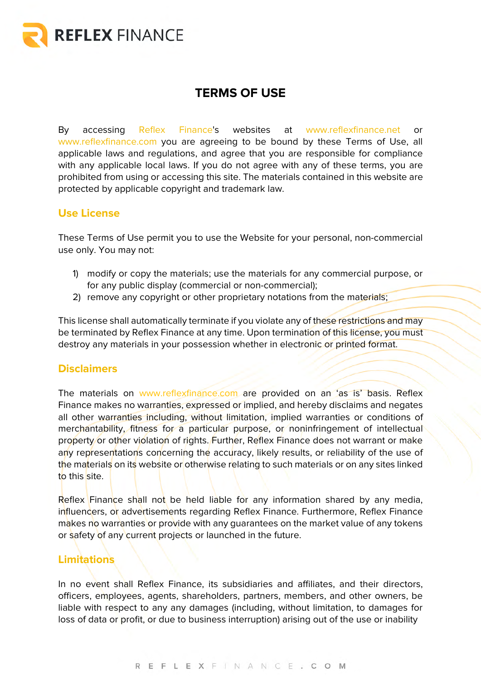

# **TERMS OF USE**

By accessing Reflex Finance's websites at www.reflexfinance.net or www.reflexfinance.com you are agreeing to be bound by these Terms of Use, all applicable laws and regulations, and agree that you are responsible for compliance with any applicable local laws. If you do not agree with any of these terms, you are prohibited from using or accessing this site. The materials contained in this website are protected by applicable copyright and trademark law.

# **Use License**

These Terms of Use permit you to use the Website for your personal, non-commercial use only. You may not:

- 1) modify or copy the materials; use the materials for any commercial purpose, or for any public display (commercial or non-commercial);
- 2) remove any copyright or other proprietary notations from the materials;

This license shall automatically terminate if you violate any of these restrictions and may be terminated by Reflex Finance at any time. Upon termination of this license, you must destroy any materials in your possession whether in electronic or printed format.

# **Disclaimers**

The materials on www.reflexfinance.com are provided on an 'as is' basis. Reflex Finance makes no warranties, expressed or implied, and hereby disclaims and negates all other warranties including, without limitation, implied warranties or conditions of merchantability, fitness for a particular purpose, or noninfringement of intellectual property or other violation of rights. Further, Reflex Finance does not warrant or make any representations concerning the accuracy, likely results, or reliability of the use of the materials on its website or otherwise relating to such materials or on any sites linked to this site.

Reflex Finance shall not be held liable for any information shared by any media, influencers, or advertisements regarding Reflex Finance. Furthermore, Reflex Finance makes no warranties or provide with any guarantees on the market value of any tokens or safety of any current projects or launched in the future.

# **Limitations**

In no event shall Reflex Finance, its subsidiaries and affiliates, and their directors, officers, employees, agents, shareholders, partners, members, and other owners, be liable with respect to any any damages (including, without limitation, to damages for loss of data or profit, or due to business interruption) arising out of the use or inability